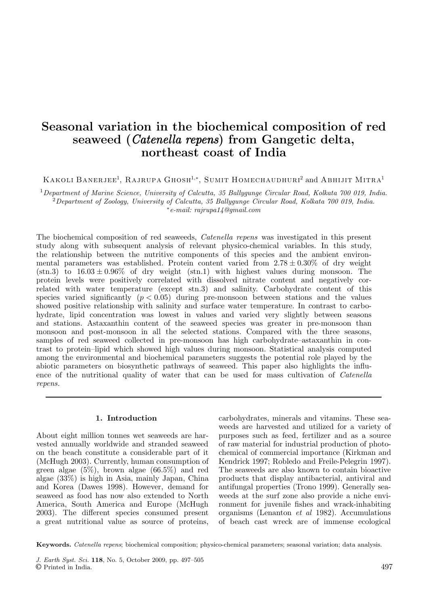# **Seasonal variation in the biochemical composition of red seaweed (***Catenella repens***) from Gangetic delta, northeast coast of India**

Kakoli Banerjee<sup>1</sup>, Rajrupa Ghosh<sup>1,</sup>\*, Sumit Homechaudhuri<sup>2</sup> and Авніјіт Мітra<sup>1</sup>

<sup>1</sup>*Department of Marine Science, University of Calcutta, 35 Ballygunge Circular Road, Kolkata 700 019, India.* <sup>2</sup>*Department of Zoology, University of Calcutta, 35 Ballygunge Circular Road, Kolkata 700 019, India.* ∗*e-mail: rajrupa14@gmail.com*

The biochemical composition of red seaweeds, *Catenella repens* was investigated in this present study along with subsequent analysis of relevant physico-chemical variables. In this study, the relationship between the nutritive components of this species and the ambient environmental parameters was established. Protein content varied from  $2.78 \pm 0.30\%$  of dry weight  $(\text{stn.3})$  to  $16.03 \pm 0.96\%$  of dry weight  $(\text{stn.1})$  with highest values during monsoon. The protein levels were positively correlated with dissolved nitrate content and negatively correlated with water temperature (except stn.3) and salinity. Carbohydrate content of this species varied significantly  $(p < 0.05)$  during pre-monsoon between stations and the values showed positive relationship with salinity and surface water temperature. In contrast to carbohydrate, lipid concentration was lowest in values and varied very slightly between seasons and stations. Astaxanthin content of the seaweed species was greater in pre-monsoon than monsoon and post-monsoon in all the selected stations. Compared with the three seasons, samples of red seaweed collected in pre-monsoon has high carbohydrate–astaxanthin in contrast to protein–lipid which showed high values during monsoon. Statistical analysis computed among the environmental and biochemical parameters suggests the potential role played by the abiotic parameters on biosynthetic pathways of seaweed. This paper also highlights the influence of the nutritional quality of water that can be used for mass cultivation of *Catenella repens.*

### **1. Introduction**

About eight million tonnes wet seaweeds are harvested annually worldwide and stranded seaweed on the beach constitute a considerable part of it (McHugh 2003). Currently, human consumption of green algae  $(5\%)$ , brown algae  $(66.5\%)$  and red algae (33%) is high in Asia, mainly Japan, China and Korea (Dawes 1998). However, demand for seaweed as food has now also extended to North America, South America and Europe (McHugh 2003). The different species consumed present a great nutritional value as source of proteins,

carbohydrates, minerals and vitamins. These seaweeds are harvested and utilized for a variety of purposes such as feed, fertilizer and as a source of raw material for industrial production of photochemical of commercial importance (Kirkman and Kendrick 1997; Robledo and Freile-Pelegrin 1997). The seaweeds are also known to contain bioactive products that display antibacterial, antiviral and antifungal properties (Trono 1999). Generally seaweeds at the surf zone also provide a niche environment for juvenile fishes and wrack-inhabiting organisms (Lenanton *et al* 1982). Accumulations of beach cast wreck are of immense ecological

**Keywords.** Catenella repens; biochemical composition; physico-chemical parameters; seasonal variation; data analysis.

J. Earth Syst. Sci. **118**, No. 5, October 2009, pp. 497–505 © Printed in India. 497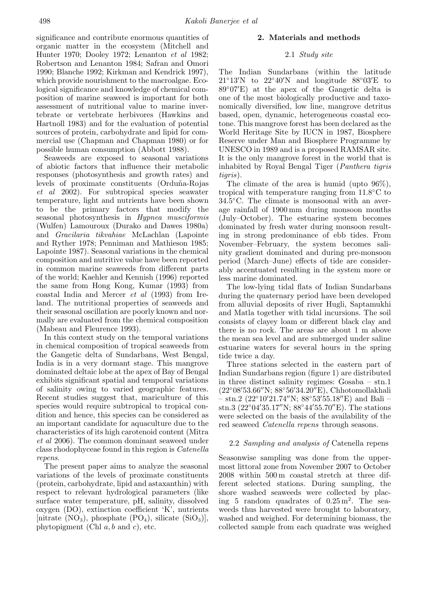significance and contribute enormous quantities of organic matter in the ecosystem (Mitchell and Hunter 1970; Dooley 1972; Lenanton *et al* 1982; Robertson and Lenanton 1984; Safran and Omori 1990; Blanche 1992; Kirkman and Kendrick 1997), which provide nourishment to the macroalgae. Ecological significance and knowledge of chemical composition of marine seaweed is important for both assessment of nutritional value to marine invertebrate or vertebrate herbivores (Hawkins and Hartnoll 1983) and for the evaluation of potential sources of protein, carbohydrate and lipid for commercial use (Chapman and Chapman 1980) or for possible human consumption (Abbott 1988).

Seaweeds are exposed to seasonal variations of abiotic factors that influence their metabolic responses (photosynthesis and growth rates) and levels of proximate constituents (Orduña-Rojas *et al* 2002). For subtropical species seawater temperature, light and nutrients have been shown to be the primary factors that modify the seasonal photosynthesis in *Hypnea musciformis* (Wulfen) Lamouroux (Durako and Dawes 1980a) and *Gracilaria tikvahiae* McLachlan (Lapointe and Ryther 1978; Penniman and Mathieson 1985; Lapointe 1987). Seasonal variations in the chemical composition and nutritive value have been reported in common marine seaweeds from different parts of the world; Kaehler and Kennish (1996) reported the same from Hong Kong, Kumar (1993) from coastal India and Mercer *et al* (1993) from Ireland. The nutritional properties of seaweeds and their seasonal oscillation are poorly known and normally are evaluated from the chemical composition (Mabeau and Fleurence 1993).

In this context study on the temporal variations in chemical composition of tropical seaweeds from the Gangetic delta of Sundarbans, West Bengal, India is in a very dormant stage. This mangrove dominated deltaic lobe at the apex of Bay of Bengal exhibits significant spatial and temporal variations of salinity owing to varied geographic features. Recent studies suggest that, mariculture of this species would require subtropical to tropical condition and hence, this species can be considered as an important candidate for aquaculture due to the characteristics of its high carotenoid content (Mitra *et al* 2006). The common dominant seaweed under class rhodophyceae found in this region is *Catenella repens*.

The present paper aims to analyze the seasonal variations of the levels of proximate constituents (protein, carbohydrate, lipid and astaxanthin) with respect to relevant hydrological parameters (like surface water temperature, pH, salinity, dissolved oxygen (DO), extinction coefficient 'K', nutrients [nitrate  $(NO_3)$ , phosphate  $(PO_4)$ , silicate  $(SiO_3)$ ], phytopigment (Chl *a, b* and *c*), etc.

# **2. Materials and methods**

# 2.1 *Study site*

The Indian Sundarbans (within the latitude  $21°13'$ N to  $22°40'$ N and longitude  $88°03'E$  to 89◦07 E) at the apex of the Gangetic delta is one of the most biologically productive and taxonomically diversified, low line, mangrove detritus based, open, dynamic, heterogeneous coastal ecotone. This mangrove forest has been declared as the World Heritage Site by IUCN in 1987, Biosphere Reserve under Man and Biosphere Programme by UNESCO in 1989 and is a proposed RAMSAR site. It is the only mangrove forest in the world that is inhabited by Royal Bengal Tiger (*Panthera tigris tigris*).

The climate of the area is humid (upto 96%), tropical with temperature ranging from 11*.*8◦C to 34*.*5◦C. The climate is monsoonal with an average rainfall of 1900 mm during monsoon months (July–October). The estuarine system becomes dominated by fresh water during monsoon resulting in strong predominance of ebb tides. From November–February, the system becomes salinity gradient dominated and during pre-monsoon period (March–June) effects of tide are considerably accentuated resulting in the system more or less marine dominated.

The low-lying tidal flats of Indian Sundarbans during the quaternary period have been developed from alluvial deposits of river Hugli, Saptamukhi and Matla together with tidal incursions. The soil consists of clayey loam or different black clay and there is no rock. The areas are about 1 m above the mean sea level and are submerged under saline estuarine waters for several hours in the spring tide twice a day.

Three stations selected in the eastern part of Indian Sundarbans region (figure 1) are distributed in three distinct salinity regimes: Gosaba – stn.1 (22°08′53.66″N; 88°56′34.20″E), Chhotomollakhali − stn.2 (22°10′21.74″N; 88°53′55.18″E) and Bali − stn.3 (22°04′35.17″N; 88°44′55.70″E). The stations were selected on the basis of the availability of the red seaweed *Catenella repens* through seasons.

# 2.2 *Sampling and analysis of* Catenella repens

Seasonwise sampling was done from the uppermost littoral zone from November 2007 to October 2008 within 500 m coastal stretch at three different selected stations. During sampling, the shore washed seaweeds were collected by placing 5 random quadrates of 0*.*25 m2. The seaweeds thus harvested were brought to laboratory, washed and weighed. For determining biomass, the collected sample from each quadrate was weighed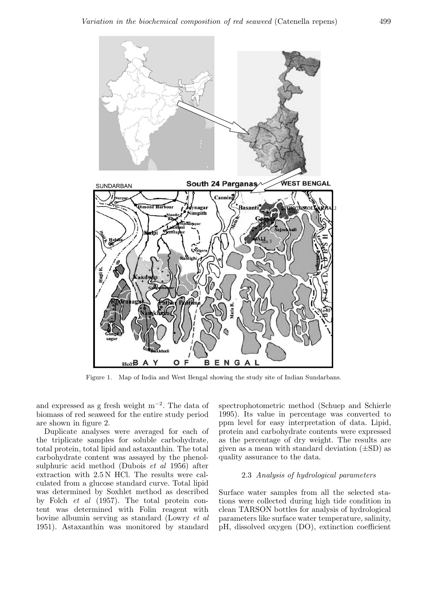

Figure 1. Map of India and West Bengal showing the study site of Indian Sundarbans.

and expressed as g fresh weight  $m^{-2}$ . The data of biomass of red seaweed for the entire study period are shown in figure 2.

Duplicate analyses were averaged for each of the triplicate samples for soluble carbohydrate, total protein, total lipid and astaxanthin. The total carbohydrate content was assayed by the phenolsulphuric acid method (Dubois *et al* 1956) after extraction with 2.5 N HCl. The results were calculated from a glucose standard curve. Total lipid was determined by Soxhlet method as described by Folch *et al* (1957). The total protein content was determined with Folin reagent with bovine albumin serving as standard (Lowry *et al* 1951). Astaxanthin was monitored by standard

spectrophotometric method (Schuep and Schierle 1995). Its value in percentage was converted to ppm level for easy interpretation of data. Lipid, protein and carbohydrate contents were expressed as the percentage of dry weight. The results are given as a mean with standard deviation (*±*SD) as quality assurance to the data.

# 2.3 *Analysis of hydrological parameters*

Surface water samples from all the selected stations were collected during high tide condition in clean TARSON bottles for analysis of hydrological parameters like surface water temperature, salinity, pH, dissolved oxygen (DO), extinction coefficient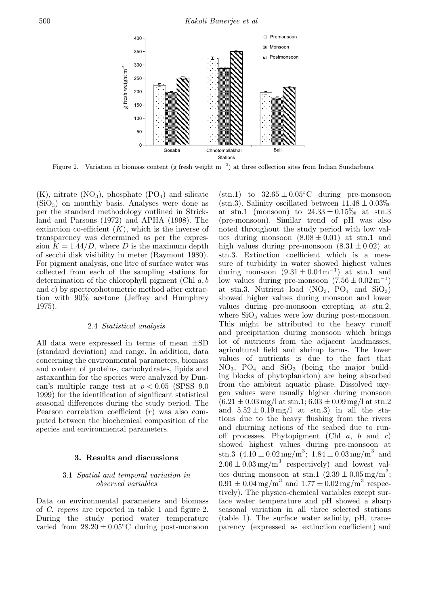

Figure 2. Variation in biomass content (g fresh weight  $m^{-2}$ ) at three collection sites from Indian Sundarbans.

 $(K)$ , nitrate  $(NO_3)$ , phosphate  $(PO_4)$  and silicate  $(SiO<sub>3</sub>)$  on monthly basis. Analyses were done as per the standard methodology outlined in Strickland and Parsons (1972) and APHA (1998). The extinction co-efficient  $(K)$ , which is the inverse of transparency was determined as per the expression  $K = 1.44/D$ , where *D* is the maximum depth of secchi disk visibility in meter (Raymont 1980). For pigment analysis, one litre of surface water was collected from each of the sampling stations for determination of the chlorophyll pigment (Chl *a, b* and *c*) by spectrophotometric method after extraction with 90% acetone (Jeffrey and Humphrey 1975).

#### 2.4 *Statistical analysis*

All data were expressed in terms of mean *±*SD (standard deviation) and range. In addition, data concerning the environmental parameters, biomass and content of proteins, carbohydrates, lipids and astaxanthin for the species were analyzed by Duncan's multiple range test at  $p < 0.05$  (SPSS 9.0) 1999) for the identification of significant statistical seasonal differences during the study period. The Pearson correlation coefficient (*r*) was also computed between the biochemical composition of the species and environmental parameters.

#### **3. Results and discussions**

#### 3.1 *Spatial and temporal variation in observed variables*

Data on environmental parameters and biomass of *C. repens* are reported in table 1 and figure 2. During the study period water temperature varied from  $28.20 \pm 0.05$ °C during post-monsoon

 $(\sin 1)$  to  $32.65 \pm 0.05$ °C during pre-monsoon  $(\text{sin}.3)$ . Salinity oscillated between  $11.48 \pm 0.03\%$ at stn.1 (monsoon) to  $24.33 \pm 0.15\%$  at stn.3 (pre-monsoon). Similar trend of pH was also noted throughout the study period with low values during monsoon  $(8.08 \pm 0.01)$  at stn.1 and high values during pre-monsoon  $(8.31 \pm 0.02)$  at stn.3. Extinction coefficient which is a measure of turbidity in water showed highest values during monsoon  $(9.31 \pm 0.04 \,\mathrm{m}^{-1})$  at stn.1 and low values during pre-monsoon  $(7.56 \pm 0.02 \,\mathrm{m}^{-1})$ at stn.3. Nutrient load  $(NO_3, PO_4$  and  $SiO_3)$ showed higher values during monsoon and lower values during pre-monsoon excepting at stn.2, where  $SiO<sub>3</sub>$  values were low during post-monsoon. This might be attributed to the heavy runoff and precipitation during monsoon which brings lot of nutrients from the adjacent landmasses, agricultural field and shrimp farms. The lower values of nutrients is due to the fact that  $NO<sub>3</sub>$ ,  $PO<sub>4</sub>$  and  $SiO<sub>3</sub>$  (being the major building blocks of phytoplankton) are being absorbed from the ambient aquatic phase. Dissolved oxygen values were usually higher during monsoon  $(6.21 \pm 0.03 \,\text{mg/l at} \,\text{stn.1}; 6.03 \pm 0.09 \,\text{mg/l at} \,\text{stn.2})$ and  $5.52 \pm 0.19 \,\mathrm{mg/l}$  at stn.3) in all the stations due to the heavy flushing from the rivers and churning actions of the seabed due to runoff processes. Phytopigment (Chl *a*, *b* and *c*) showed highest values during pre-monsoon at  $\sin 3$  (4.10  $\pm 0.02 \text{ mg/m}^3$ ;  $1.84 \pm 0.03 \text{ mg/m}^3$  and  $2.06 \pm 0.03$  mg/m<sup>3</sup> respectively) and lowest values during monsoon at stn.1  $(2.39 \pm 0.05 \text{ mg/m}^3)$ ;  $0.91 \pm 0.04 \,\mathrm{mg/m}^3$  and  $1.77 \pm 0.02 \,\mathrm{mg/m}^3$  respectively). The physico-chemical variables except surface water temperature and pH showed a sharp seasonal variation in all three selected stations (table 1). The surface water salinity, pH, transparency (expressed as extinction coefficient) and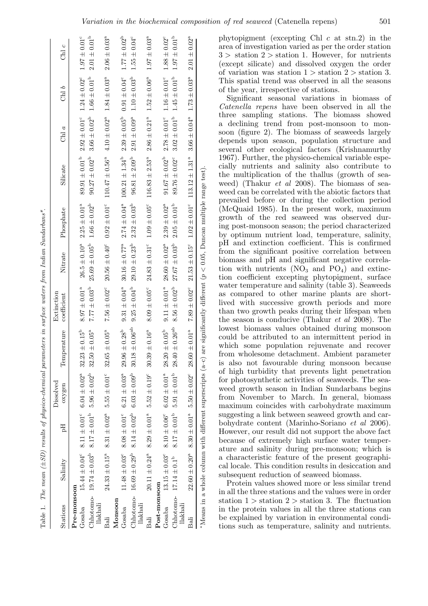| Stations              | Salinity                                                                           | Ëq | Dissolved<br>oxygen                                                                    | Temperature                      | Extinction<br>coefficient | Nitrate                                                                                            | Phosphate               | Silicate                  | $\frac{a}{\text{C}}$                            | Chl $b$                 | Chl $c$                      |
|-----------------------|------------------------------------------------------------------------------------|----|----------------------------------------------------------------------------------------|----------------------------------|---------------------------|----------------------------------------------------------------------------------------------------|-------------------------|---------------------------|-------------------------------------------------|-------------------------|------------------------------|
| Pre-monsoon           |                                                                                    |    |                                                                                        |                                  |                           |                                                                                                    |                         |                           |                                                 |                         |                              |
| Gosaba                |                                                                                    |    | $15.44 \pm 0.04^{\circ}$ $8.11 \pm 0.01^{\circ}$ $6.04 \pm 0.02^{\circ}$               | $32.23 \pm 0.15^b$               | $8.97 \pm 0.01^{a}$       | $26.5 \pm 0.10^{a}$                                                                                | $2.25 \pm 0.01^{a}$     | $89.91 \pm 0.01^{\rm b}$  | $2.92 \pm 0.01^{\circ}$                         | $1.24\pm0.02^{\circ}$   | $1.97 \pm 0.01^{\circ}$      |
| llakhali              | Chhotomo- $19.74 \pm 0.03^{\circ}$ $8.17 \pm 0.01^{\circ}$ $5.96 \pm 0.02^{\circ}$ |    |                                                                                        | $50 \pm 0.05^{\rm a}$<br>32.     | $7.77 \pm 0.03^{b}$       | $25.69 \pm 0.05^{b}$                                                                               | $1.66 \pm 0.02^{\rm b}$ | $90.27 \pm 0.02^{\rm b}$  | $3.66 \pm 0.02^{\rm b}$                         | $1.66 \pm 0.01^{\rm b}$ | $2.01 \pm 0.01^{\rm b}$      |
| Bali                  |                                                                                    |    | $24.33 \pm 0.15^a$ $8.31 \pm 0.02^a$ $5.55 \pm 0.01^c$                                 | $32.65 \pm 0.05^a$               | $7.56 \pm 0.02^{\circ}$   | $20.56 \pm 0.40^{\circ}$                                                                           | $0.92 \pm 0.01^{\circ}$ | $110.47 \pm 0.56^a$       | $4.10 \pm 0.02^a$                               | $1.84 \pm 0.03^{a}$     | $2.06 \pm 0.03$ <sup>a</sup> |
| Monsoon               |                                                                                    |    |                                                                                        |                                  |                           |                                                                                                    |                         |                           |                                                 |                         |                              |
| Gosaba                |                                                                                    |    | $11.48 \pm 0.03^{\circ}$ $8.08 \pm 0.01^{\circ}$ $6.21 \pm 0.03^{\circ}$               | $29.96 \pm 0.28^{\rm b}$         | $9.31 \pm 0.04^{a}$       | $30.16\pm0.77^{\mathrm{a}}$                                                                        | $2.74 \pm 0.04^{a}$     | $100.21 \pm 1.34^{\rm b}$ | $2.39\pm0.05^{\mathrm{b}}$                      | $0.91\pm0.04^{\rm c}$   | $1.77 \pm 0.02^{\rm b}$      |
| llakhali              | Chhotomo- $16.69 \pm 0.29^{\circ}$ $8.14 \pm 0.02^{\circ}$ $6.03 \pm 0.09^{\circ}$ |    |                                                                                        | $30.18 \pm 0.06^{ab}$            | $9.25 \pm 0.04^b$         | $29.10 \pm 0.23^{\rm b}$                                                                           | $2.32 \pm 0.03^{\rm b}$ | $96.81 \pm 2.09^{p}$      | $2.91 \pm 0.09^{\circ}$ 1.10 $\pm 0.03^{\circ}$ |                         | $1.55 \pm 0.04^c$            |
| Bali                  |                                                                                    |    | $20.11 \pm 0.24^{\circ}$ $8.29 \pm 0.01^{\circ}$ $5.52 \pm 0.19^{\circ}$               | $.39 \pm 0.16^{a}$<br>$\ddot{3}$ | $8.09 \pm 0.05^{\circ}$   | $24.83 \pm 0.31^{\circ}$ 1.09 $\pm 0.05^{\circ}$                                                   |                         | $116.83 \pm 2.53^a$       | $2.86 \pm 0.21^a$ $1.52 \pm 0.06^a$             |                         | $1.97 \pm 0.03^{\circ}$      |
| Post-monsoon          |                                                                                    |    |                                                                                        |                                  |                           |                                                                                                    |                         |                           |                                                 |                         |                              |
| Gosaba                | $13.15\pm0.03^{\rm c}$                                                             |    | $8.10 \pm 0.06^{\circ}$ $6.02 \pm 0.01^{\circ}$                                        | $28.20 \pm 0.05^{\rm b}$         | $9.11 \pm 0.01^a$         | $28.60 \pm 0.02^a$                                                                                 | $2.39 \pm 0.02^{\rm a}$ | $91.67 \pm 0.02^{\rm b}$  | $2.78 \pm 0.01$ <sup>c</sup>                    | $1.16\pm0.01^{\rm c}$   | $1.88 \pm 0.02^{\circ}$      |
| Chhotomo-<br>llakhali | $17.14 \pm 0.1^{\rm b}$                                                            |    | $8.17 \pm 0.01^{\circ}$ 5.91 $\pm$ 0.01 <sup>b</sup>                                   | $28.40 \pm 0.26^{ab}$            | $8.56 \pm 0.02^{b}$       | $27.67 \pm 0.03^{\rm b}$                                                                           | $2.05 \pm 0.01^{\rm b}$ | 89.76 $\pm$ 0.02°         | $3.02 \pm 0.01^{b}$                             | $1.45 \pm 0.01^{\rm b}$ | $1.97 \pm 0.01^{\rm b}$      |
| Bali                  |                                                                                    |    | $22.60 \pm 0.20^{\circ}$ 8.30 $\pm$ 0.01 <sup>a</sup> 5.50 $\pm$ 0.02 <sup>c</sup> 28. | $60 \pm 0.01^{a}$                |                           | $7.89 \pm 0.02^{\circ}$ $21.53 \pm 0.15^{\circ}$ $1.02 \pm 0.01^{\circ}$ $113.12 \pm 1.31^{\circ}$ |                         |                           | $3.66 \pm 0.04^{\circ}$ $1.73 \pm 0.03^{\circ}$ |                         | $2.01 \pm 0.02^{\circ}$      |
|                       | $M$ eans in a whole column with different superscripts (a-c)                       |    |                                                                                        |                                  |                           | are significantly different ( $p < 0.05$ , Duncan multiple range test)                             |                         |                           |                                                 |                         |                              |

Table 1. The mean  $(\pm SD)$  results of physico-chemical parameters in surface waters from Indian Sundarbans\*.

 $Table~1. \quad The \ mean \ (\pm SD) \ results \ of \ physical \ parameters \ in \ surface \ waters from \ Indian \ Sunday \ stars.$ 

phytopigment (excepting Chl *c* at stn.2) in the area of investigation varied as per the order station  $3 >$  station  $2 >$  station 1. However, for nutrients (except silicate) and dissolved oxygen the order of variation was station  $1 >$  station  $2 >$  station 3. This spatial trend was observed in all the seasons of the year, irrespective of stations.

Significant seasonal variations in biomass of *Catenella repens* have been observed in all the three sampling stations. The biomass showed a declining trend from post-monsoon to monsoon (figure 2). The biomass of seaweeds largely depends upon season, population structure and several other ecological factors (Krishnamurthy 1967). Further, the physico-chemical variable especially nutrients and salinity also contribute to the multiplication of the thallus (growth of seaweed) (Thakur *et al* 2008). The biomass of seaweed can be correlated with the abiotic factors that prevailed before or during the collection period (McQuaid 1985). In the present work, maximum growth of the red seaweed was observed during post-monsoon season; the period characterized by optimum nutrient load, temperature, salinity, pH and extinction coefficient. This is confirmed from the significant positive correlation between biomass and pH and significant negative correlation with nutrients  $(NO<sub>3</sub>$  and  $PO<sub>4</sub>)$  and extinction coefficient excepting phytopigment, surface water temperature and salinity (table 3). Seaweeds as compared to other marine plants are shortlived with successive growth periods and more than two growth peaks during their lifespan when the season is conducive (Thakur *et al* 2008). The lowest biomass values obtained during monsoon could be attributed to an intermittent period in which some population rejuvenate and recover from wholesome detachment. Ambient parameter is also not favourable during monsoon because of high turbidity that prevents light penetration for photosynthetic activities of seaweeds. The seaweed growth season in Indian Sundarbans begins from November to March. In general, biomass maximum coincides with carbohydrate maximum suggesting a link between seaweed growth and carbohydrate content (Marinho-Soriano *et al* 2006). However, our result did not support the above fact because of extremely high surface water temperature and salinity during pre-monsoon; which is a characteristic feature of the present geographical locale. This condition results in desiccation and subsequent reduction of seaweed biomass.

Protein values showed more or less similar trend in all the three stations and the values were in order station  $1 >$  station  $2 >$  station 3. The fluctuation in the protein values in all the three stations can be explained by variation in environmental conditions such as temperature, salinity and nutrients.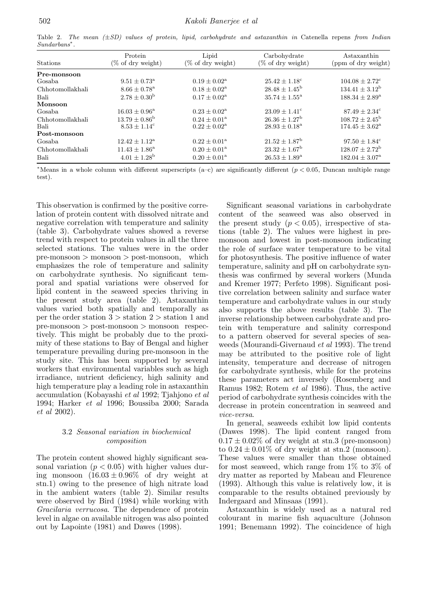Table 2. The mean  $(\pm SD)$  values of protein, lipid, carbohydrate and astaxanthin in Catenella repens from Indian Sundarbans∗.

| Stations         | Protein<br>$(\% \text{ of dry weight})$ | Lipid<br>$(\% \text{ of dry weight})$ | Carbohydrate<br>(% of dry weight) | Astaxanthin<br>(ppm of dry weight) |
|------------------|-----------------------------------------|---------------------------------------|-----------------------------------|------------------------------------|
| Pre-monsoon      |                                         |                                       |                                   |                                    |
| Gosaba           | $9.51 \pm 0.73^{\rm a}$                 | $0.19 \pm 0.02^{\rm a}$               | $25.42 \pm 1.18^c$                | $104.08 \pm 2.72$ <sup>c</sup>     |
| Chhotomollakhali | $8.66 \pm 0.78^{\rm a}$                 | $0.18 \pm 0.02^{\rm a}$               | $28.48 \pm 1.45^{\rm b}$          | $134.41 \pm 3.12^{\rm b}$          |
| Bali             | $2.78 \pm 0.30^{\rm b}$                 | $0.17 \pm 0.02^{\rm a}$               | $35.74 \pm 1.55^{\circ}$          | $188.34 \pm 2.89^{\rm a}$          |
| Monsoon          |                                         |                                       |                                   |                                    |
| Gosaba           | $16.03 \pm 0.96^{\rm a}$                | $0.23 \pm 0.02^{\rm a}$               | $23.09 \pm 1.41^{\circ}$          | $87.49 \pm 2.34^{\circ}$           |
| Chhotomollakhali | $13.79 \pm 0.86^{\rm b}$                | $0.24 \pm 0.01^{\rm a}$               | $26.36 \pm 1.27^{\rm b}$          | $108.72 \pm 2.45^{\rm b}$          |
| Bali             | $8.53 \pm 1.14^c$                       | $0.22 \pm 0.02^{\rm a}$               | $28.93 \pm 0.18^{\circ}$          | $174.45 \pm 3.62^{\mathrm{a}}$     |
| Post-monsoon     |                                         |                                       |                                   |                                    |
| Gosaba           | $12.42 \pm 1.12^{\rm a}$                | $0.22 \pm 0.01^{\rm a}$               | $21.52 \pm 1.87^{\rm b}$          | $97.50 \pm 1.84^{\circ}$           |
| Chhotomollakhali | $11.43 \pm 1.86^{\circ}$                | $0.20 \pm 0.01^{\rm a}$               | $23.32 \pm 1.67^{\rm b}$          | $128.07 \pm 2.72^{\rm b}$          |
| Bali             | $4.01 \pm 1.28^{\rm b}$                 | $0.20 \pm 0.01^{\rm a}$               | $26.53 \pm 1.89^{\rm a}$          | $182.04 \pm 3.07^{\circ}$          |

<sup>∗</sup>Means in a whole column with different superscripts (a–c) are significantly different (*p <* 0*.*05, Duncan multiple range test).

This observation is confirmed by the positive correlation of protein content with dissolved nitrate and negative correlation with temperature and salinity (table 3). Carbohydrate values showed a reverse trend with respect to protein values in all the three selected stations. The values were in the order pre-monsoon *>* monsoon *>* post-monsoon, which emphasizes the role of temperature and salinity on carbohydrate synthesis. No significant temporal and spatial variations were observed for lipid content in the seaweed species thriving in the present study area (table 2). Astaxanthin values varied both spatially and temporally as per the order station 3 *>* station 2 *>* station 1 and pre-monsoon *>* post-monsoon *>* monsoon respectively. This might be probably due to the proximity of these stations to Bay of Bengal and higher temperature prevailing during pre-monsoon in the study site. This has been supported by several workers that environmental variables such as high irradiance, nutrient deficiency, high salinity and high temperature play a leading role in astaxanthin accumulation (Kobayashi *et al* 1992; Tjahjono *et al* 1994; Harker *et al* 1996; Boussiba 2000; Sarada *et al* 2002).

#### 3.2 *Seasonal variation in biochemical composition*

The protein content showed highly significant seasonal variation  $(p < 0.05)$  with higher values during monsoon  $(16.03 \pm 0.96\%$  of dry weight at stn.1) owing to the presence of high nitrate load in the ambient waters (table 2). Similar results were observed by Bird (1984) while working with *Gracilaria verrucosa*. The dependence of protein level in algae on available nitrogen was also pointed out by Lapointe (1981) and Dawes (1998).

Significant seasonal variations in carbohydrate content of the seaweed was also observed in the present study  $(p < 0.05)$ , irrespective of stations (table 2). The values were highest in premonsoon and lowest in post-monsoon indicating the role of surface water temperature to be vital for photosynthesis. The positive influence of water temperature, salinity and pH on carbohydrate synthesis was confirmed by several workers (Munda and Kremer 1977; Perfeto 1998). Significant positive correlation between salinity and surface water temperature and carbohydrate values in our study also supports the above results (table 3). The inverse relationship between carbohydrate and protein with temperature and salinity correspond to a pattern observed for several species of seaweeds (Mourandi-Givernaud *et al* 1993). The trend may be attributed to the positive role of light intensity, temperature and decrease of nitrogen for carbohydrate synthesis, while for the proteins these parameters act inversely (Rosemberg and Ramus 1982; Rotem *et al* 1986). Thus, the active period of carbohydrate synthesis coincides with the decrease in protein concentration in seaweed and *vice-versa*.

In general, seaweeds exhibit low lipid contents (Dawes 1998). The lipid content ranged from  $0.17 \pm 0.02\%$  of dry weight at stn.3 (pre-monsoon) to  $0.24 \pm 0.01\%$  of dry weight at stn.2 (monsoon). These values were smaller than those obtained for most seaweed, which range from  $1\%$  to  $3\%$  of dry matter as reported by Mabeau and Fleurence (1993). Although this value is relatively low, it is comparable to the results obtained previously by Indergaard and Minsaas (1991).

Astaxanthin is widely used as a natural red colourant in marine fish aquaculture (Johnson 1991; Benemann 1992). The coincidence of high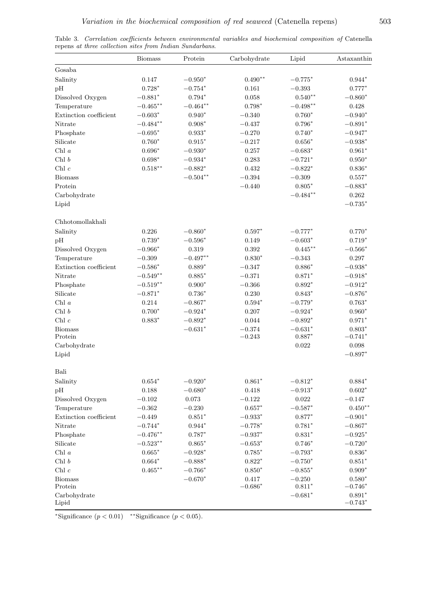|                        | <b>Biomass</b> | Protein        | Carbohydrate | Lipid      | Astaxanthin           |
|------------------------|----------------|----------------|--------------|------------|-----------------------|
| Gosaba                 |                |                |              |            |                       |
| Salinity               | 0.147          | $-0.950*$      | $0.490**$    | $-0.775*$  | $0.944*$              |
| pH                     | $0.728*$       | $-0.754*$      | 0.161        | $-0.393$   | $0.777*$              |
| Dissolved Oxygen       | $-0.881*$      | $0.794*$       | $0.058\,$    | $0.540**$  | $-0.860*$             |
| Temperature            | $-0.465***$    | $-0.464**$     | $0.798*$     | $-0.498**$ | 0.428                 |
| Extinction coefficient | $-0.603*$      | $0.940*$       | $-0.340$     | $0.760*$   | $-0.940*$             |
| Nitrate                | $-0.484**$     | $0.908*$       | $-0.437$     | $0.796*$   | $-0.891*$             |
| Phosphate              | $-0.695*$      | $0.933*$       | $-0.270$     | $0.740*$   | $-0.947*$             |
| Silicate               | $0.760*$       | $0.915^{\ast}$ | $-0.217$     | $0.656*$   | $-0.938*$             |
| Chl $\it a$            | $0.696*$       | $-0.930*$      | 0.257        | $-0.683*$  | $0.961*$              |
| Chl $\boldsymbol{b}$   | $0.698*$       | $-0.934*$      | 0.283        | $-0.721*$  | $0.950*$              |
| Chl $c$                | $0.518***$     | $-0.882*$      | $\,0.432\,$  | $-0.822*$  | $0.836*$              |
| <b>Biomass</b>         |                | $-0.504**$     | $-0.394\,$   | $-0.309$   | $0.557*$              |
| Protein                |                |                | $-0.440$     | $0.805*$   | $-0.883^{\ast}$       |
| Carbohydrate           |                |                |              | $-0.484**$ | 0.262                 |
| Lipid                  |                |                |              |            | $-0.735*$             |
| Chhotomollakhali       |                |                |              |            |                       |
| Salinity               | 0.226          | $-0.860*$      | $0.597*$     | $-0.777*$  | $0.770*$              |
| pH                     | $0.739*$       | $-0.596*$      | 0.149        | $-0.603*$  | $0.719*$              |
| Dissolved Oxygen       | $-0.966*$      | $0.319\,$      | $\,0.392\,$  | $0.445***$ | $-0.566*$             |
| Temperature            | $-0.309$       | $-0.497**$     | $0.830*$     | $-0.343$   | $0.297\,$             |
| Extinction coefficient | $-0.586*$      | $0.889*$       | $-0.347$     | $0.886*$   | $-0.938^{\ast}$       |
| Nitrate                | $-0.549**$     | $0.885*$       | $-0.371$     | $0.871*$   | $-0.918*$             |
| Phosphate              | $-0.519**$     | $0.900*$       | $-0.366$     | $0.892*$   | $-0.912*$             |
| Silicate               | $-0.871*$      | $0.736*$       | $0.230\,$    | $0.843*$   | $-0.876*$             |
| Chl $\it a$            | $0.214\,$      | $-0.867*$      | $0.594*$     | $-0.779*$  | $0.763*$              |
| Chl $\boldsymbol{b}$   | $0.700*$       | $-0.924*$      | 0.207        | $-0.924*$  | $0.960*$              |
| Chl $\boldsymbol{c}$   | $0.883*$       | $-0.892*$      | $\,0.044\,$  | $-0.892*$  | $0.971*$              |
| <b>Biomass</b>         |                | $-0.631*$      | $-0.374$     | $-0.631*$  | $0.803*$              |
| Protein                |                |                | $-0.243$     | $0.887*$   | $-0.741*$             |
| $\mbox{Carbohydrate}$  |                |                |              | 0.022      | $0.098\,$             |
| Lipid                  |                |                |              |            | $-0.897*$             |
| Bali                   |                |                |              |            |                       |
| Salinity               | $0.654*$       | $-0.920*$      | $0.861*$     | $-0.812*$  | $0.884*$              |
| pH                     | 0.188          | $-0.680*$      | 0.418        | $-0.913*$  | $0.602*$              |
| Dissolved Oxygen       | $-0.102$       | 0.073          | $-0.122$     | 0.022      | $-0.147$              |
| Temperature            | $-0.362$       | $-0.230$       | $0.657*$     | $-0.587*$  | $0.450**$             |
| Extinction coefficient | $-0.449$       | $0.851*$       | $-0.933*$    | $0.877*$   | $-0.901*$             |
| $\it{Nitrate}$         | $-0.744*$      | $0.944*$       | $-0.778*$    | $0.781*$   | $-0.867*$             |
| Phosphate              | $-0.476**$     | $0.787*$       | $-0.937*$    | $0.831*$   | $-0.925*$             |
| $\textbf{Silicate}$    | $-0.523**$     | $0.865*$       | $-0.653*$    | $0.746*$   | $-0.720*$             |
| Chl $\it a$            | $0.665*$       | $-0.928*$      | $0.785*$     | $-0.793*$  | $0.836*$              |
| Chl $\boldsymbol{b}$   | $0.664*$       | $-0.888*$      | $0.822*$     | $-0.750*$  | $0.851*$              |
| Chl $\boldsymbol{c}$   | $0.465***$     | $-0.766*$      | $0.850*$     | $-0.855*$  | $0.909*$              |
| <b>Biomass</b>         |                | $-0.670*$      | 0.417        | $-0.250$   | $0.580*$              |
| Protein                |                |                | $-0.686*$    | $0.811*$   | $-0.746*$             |
| Carbohydrate<br>Lipid  |                |                |              | $-0.681*$  | $0.891*$<br>$-0.743*$ |

Table 3. Correlation coefficients between environmental variables and biochemical composition of Catenella repens at three collection sites from Indian Sundarbans.

<sup>∗</sup>Significance (*p <* 0*.*01) ∗∗Significance (*p <* 0*.*05).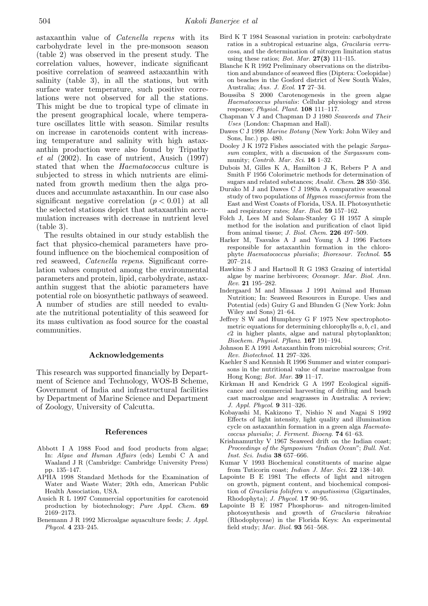astaxanthin value of *Catenella repens* with its carbohydrate level in the pre-monsoon season (table 2) was observed in the present study. The correlation values, however, indicate significant positive correlation of seaweed astaxanthin with salinity (table 3), in all the stations, but with surface water temperature, such positive correlations were not observed for all the stations. This might be due to tropical type of climate in the present geographical locale, where temperature oscillates little with season. Similar results on increase in carotenoids content with increasing temperature and salinity with high astaxanthin production were also found by Tripathy *et al* (2002). In case of nutrient, Ausich (1997) stated that when the *Haematococcus* culture is subjected to stress in which nutrients are eliminated from growth medium then the alga produces and accumulate astaxanthin. In our case also significant negative correlation  $(p < 0.01)$  at all the selected stations depict that astaxanthin accumulation increases with decrease in nutrient level (table 3).

The results obtained in our study establish the fact that physico-chemical parameters have profound influence on the biochemical composition of red seaweed, *Catenella repens*. Significant correlation values computed among the environmental parameters and protein, lipid, carbohydrate, astaxanthin suggest that the abiotic parameters have potential role on biosynthetic pathways of seaweed. A number of studies are still needed to evaluate the nutritional potentiality of this seaweed for its mass cultivation as food source for the coastal communities.

#### **Acknowledgements**

This research was supported financially by Department of Science and Technology, WOS-B Scheme, Government of India and infrastructural facilities by Department of Marine Science and Department of Zoology, University of Calcutta.

#### **References**

- Abbott I A 1988 Food and food products from algae; In: Algae and Human Affairs (eds) Lembi C A and Waaland J R (Cambridge: Cambridge University Press) pp. 135–147.
- APHA 1998 Standard Methods for the Examination of Water and Waste Water; 20th edn, American Public Health Association, USA.
- Ausich R L 1997 Commercial opportunities for carotenoid production by biotechnology; Pure Appl. Chem. **69** 2169–2173.
- Benemann J R 1992 Microalgae aquaculture feeds; J. Appl. Phycol. **4** 233–245.
- Bird K T 1984 Seasonal variation in protein: carbohydrate ratios in a subtropical estuarine alga, Gracilaria verrucosa, and the determination of nitrogen limitation status using these ratios; Bot. Mar. **27(3)** 111–l15.
- Blanche K R 1992 Preliminary observations on the distribution and abundance of seaweed flies (Diptera: Coelopidae) on beaches in the Gosford district of New South Wales, Australia; Aus. J. Ecol. **17** 27–34.
- Boussiba S 2000 Carotenogenesis in the green algae Haematococcus pluvialis: Cellular physiology and stress response; Physiol. Plant. **108** 111–117.
- Chapman V J and Chapman D J 1980 Seaweeds and Their Uses (London: Chapman and Hall).
- Dawes C J 1998 Marine Botany (New York: John Wiley and Sons, Inc.) pp. 480.
- Dooley J K 1972 Fishes associated with the pelagic Sargassum complex, with a discussion of the Sargassum community; Contrib. Mar. Sci. **16** 1–32.
- Dubois M, Gilles K A, Hamilton J K, Rebers P A and Smith F 1956 Colorimetric methods for determination of sugars and related substances; Analit. Chem. **28** 350–356.
- Durako M J and Dawes C J 1980a A comparative seasonal study of two populations of Hypnea musciformis from the East and West Coasts of Florida, USA. II. Photosynthetic and respiratory rates; Mar. Biol. **59** 157–162.
- Folch J, Lees M and Solam-Stanley G H 1957 A simple method for the isolation and purification of claot lipid from animal tissue; J. Biol. Chem. **226** 497–509.
- Harker M, Tsavalos A J and Young A J 1996 Factors responsible for astaxanthin formation in the chlorophyte Haematococcus pluvialis; Bioresour. Technol. **55** 207–214.
- Hawkins S J and Hartnoll R G 1983 Grazing of intertidal algae by marine herbivores; Oceanogr. Mar. Biol. Ann. Rev. **21** 195–282.
- Indergaard M and Minsaas J 1991 Animal and Human Nutrition; In: Seaweed Resources in Europe. Uses and Potential (eds) Guiry G and Blunden G (New York: John Wiley and Sons) 21–64.
- Jeffrey S W and Humphrey G F 1975 New spectrophotometric equations for determining chlorophylls *a, b, c*1, and *c*2 in higher plants, algae and natural phytoplankton; Biochem. Physiol. Pflanz. **167** 191–194.
- Johnson E A 1991 Astaxanthin from microbial sources; Crit. Rev. Biotechnol. **11** 297–326.
- Kaehler S and Kennish R 1996 Summer and winter comparisons in the nutritional value of marine macroalgae from Hong Kong; Bot. Mar. **39** 11–17.
- Kirkman H and Kendrick G A 1997 Ecological significance and commercial harvesting of drifting and beach cast macroalgae and seagrasses in Australia: A review; J. Appl. Phycol. **9** 311–326.
- Kobayashi M, Kakizono T, Nishio N and Nagai S 1992 Effects of light intensity, light quality and illumination cycle on astaxanthin formation in a green alga Haematococcus pluvialis; J. Ferment. Bioeng. **74** 61–63.
- Krishnamurthy V 1967 Seaweed drift on the Indian coast; Proceedings of the Symposium "Indian Ocean"; Bull. Nat. Inst. Sci. India **38** 657–666.
- Kumar V 1993 Biochemical constituents of marine algae from Tuticorin coast; Indian J. Mar. Sci. **22** 138–140.
- Lapointe B E 1981 The effects of light and nitrogen on growth, pigment content, and biochemical composition of Gracilaria foliifera v. angustissima (Gigartinales, Rhodophyta); J. Phycol. **17** 90–95.
- Lapointe B E 1987 Phosphorus- and nitrogen-limited photosynthesis and growth of Gracilaria tikvahiae (Rhodophyceae) in the Florida Keys: An experimental field study; Mar. Biol. **93** 561–568.